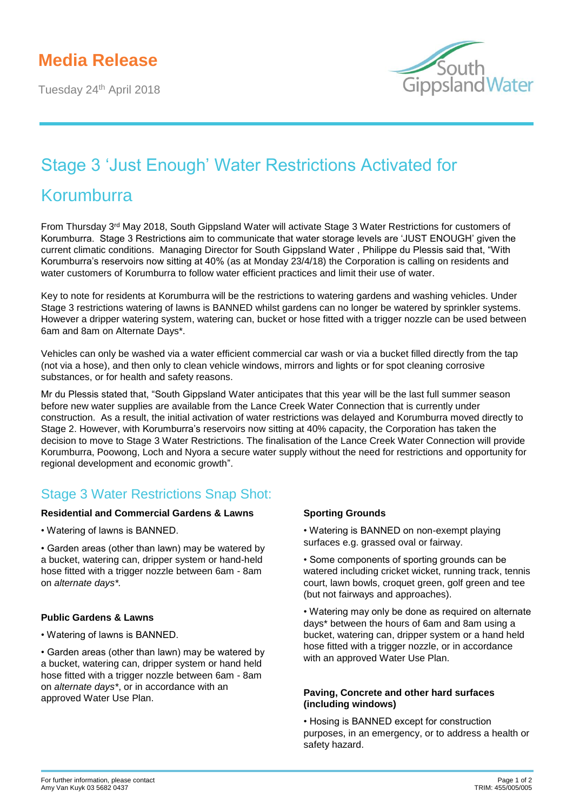# **Media Release**

Tuesday 24<sup>th</sup> April 2018



# Stage 3 'Just Enough' Water Restrictions Activated for

# Korumburra

From Thursday 3rd May 2018, South Gippsland Water will activate Stage 3 Water Restrictions for customers of Korumburra. Stage 3 Restrictions aim to communicate that water storage levels are 'JUST ENOUGH' given the current climatic conditions. Managing Director for South Gippsland Water , Philippe du Plessis said that, "With Korumburra's reservoirs now sitting at 40% (as at Monday 23/4/18) the Corporation is calling on residents and water customers of Korumburra to follow water efficient practices and limit their use of water.

Key to note for residents at Korumburra will be the restrictions to watering gardens and washing vehicles. Under Stage 3 restrictions watering of lawns is BANNED whilst gardens can no longer be watered by sprinkler systems. However a dripper watering system, watering can, bucket or hose fitted with a trigger nozzle can be used between 6am and 8am on Alternate Days\*.

Vehicles can only be washed via a water efficient commercial car wash or via a bucket filled directly from the tap (not via a hose), and then only to clean vehicle windows, mirrors and lights or for spot cleaning corrosive substances, or for health and safety reasons.

Mr du Plessis stated that, "South Gippsland Water anticipates that this year will be the last full summer season before new water supplies are available from the Lance Creek Water Connection that is currently under construction. As a result, the initial activation of water restrictions was delayed and Korumburra moved directly to Stage 2. However, with Korumburra's reservoirs now sitting at 40% capacity, the Corporation has taken the decision to move to Stage 3 Water Restrictions. The finalisation of the Lance Creek Water Connection will provide Korumburra, Poowong, Loch and Nyora a secure water supply without the need for restrictions and opportunity for regional development and economic growth".

# Stage 3 Water Restrictions Snap Shot:

#### **Residential and Commercial Gardens & Lawns**

- Watering of lawns is BANNED.
- Garden areas (other than lawn) may be watered by a bucket, watering can, dripper system or hand-held hose fitted with a trigger nozzle between 6am - 8am on *alternate days\*.*

## **Public Gardens & Lawns**

- Watering of lawns is BANNED.
- Garden areas (other than lawn) may be watered by a bucket, watering can, dripper system or hand held hose fitted with a trigger nozzle between 6am - 8am on *alternate days\**, or in accordance with an approved Water Use Plan.

## **Sporting Grounds**

- Watering is BANNED on non-exempt playing surfaces e.g. grassed oval or fairway.
- Some components of sporting grounds can be watered including cricket wicket, running track, tennis court, lawn bowls, croquet green, golf green and tee (but not fairways and approaches).
- Watering may only be done as required on alternate days\* between the hours of 6am and 8am using a bucket, watering can, dripper system or a hand held hose fitted with a trigger nozzle, or in accordance with an approved Water Use Plan.

#### **Paving, Concrete and other hard surfaces (including windows)**

• Hosing is BANNED except for construction purposes, in an emergency, or to address a health or safety hazard.